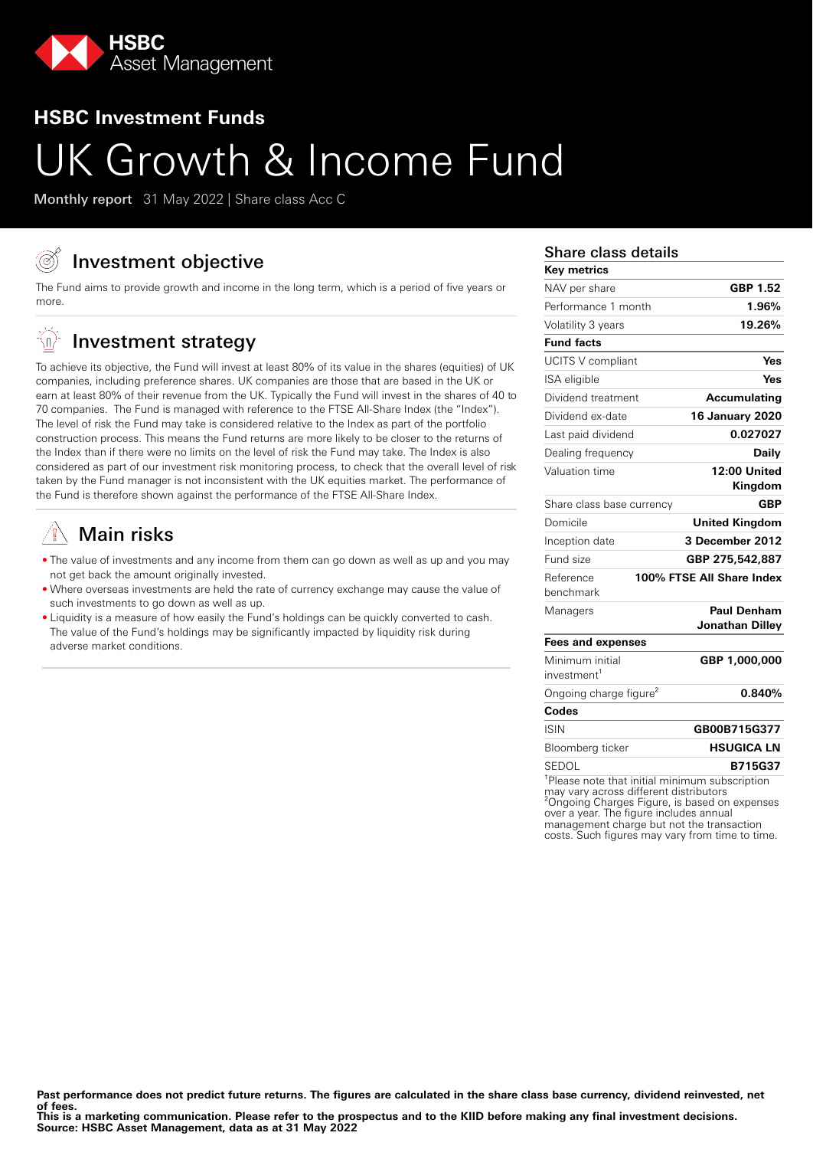

# **HSBC Investment Funds**

# UK Growth & Income Fund

Monthly report 31 May 2022 | Share class Acc C

# Investment objective

The Fund aims to provide growth and income in the long term, which is a period of five years or more.

#### -(n) Investment strategy

To achieve its objective, the Fund will invest at least 80% of its value in the shares (equities) of UK companies, including preference shares. UK companies are those that are based in the UK or earn at least 80% of their revenue from the UK. Typically the Fund will invest in the shares of 40 to 70 companies. The Fund is managed with reference to the FTSE All-Share Index (the "Index"). The level of risk the Fund may take is considered relative to the Index as part of the portfolio construction process. This means the Fund returns are more likely to be closer to the returns of the Index than if there were no limits on the level of risk the Fund may take. The Index is also considered as part of our investment risk monitoring process, to check that the overall level of risk taken by the Fund manager is not inconsistent with the UK equities market. The performance of the Fund is therefore shown against the performance of the FTSE All-Share Index.

# Main risks

- The value of investments and any income from them can go down as well as up and you may not get back the amount originally invested.
- Where overseas investments are held the rate of currency exchange may cause the value of such investments to go down as well as up.
- Liquidity is a measure of how easily the Fund's holdings can be quickly converted to cash. The value of the Fund's holdings may be significantly impacted by liquidity risk during adverse market conditions.

## Share class details

| <b>Key metrics</b>                                         |                           |
|------------------------------------------------------------|---------------------------|
| NAV per share                                              | GBP 1.52                  |
| Performance 1 month                                        | 1.96%                     |
| Volatility 3 years                                         | 19.26%                    |
| <b>Fund facts</b>                                          |                           |
| UCITS V compliant                                          | Yes                       |
| ISA eligible                                               | Yes                       |
| Dividend treatment                                         | Accumulating              |
| Dividend ex-date                                           | <b>16 January 2020</b>    |
| Last paid dividend                                         | 0.027027                  |
| Dealing frequency                                          | Daily                     |
| Valuation time                                             | 12:00 United              |
|                                                            | Kingdom                   |
| Share class base currency                                  | GBP                       |
| Domicile                                                   | <b>United Kingdom</b>     |
| Inception date                                             | 3 December 2012           |
| Fund size                                                  | GBP 275,542,887           |
| Reference<br>benchmark                                     | 100% FTSE All Share Index |
| Managers                                                   | Paul Denham               |
|                                                            | Jonathan Dilley           |
| <b>Fees and expenses</b>                                   |                           |
| Minimum initial                                            | GBP 1,000,000             |
| investment <sup>1</sup>                                    |                           |
| Ongoing charge figure <sup>2</sup>                         | 0.840%                    |
| Codes                                                      |                           |
| <b>ISIN</b>                                                | GB00B715G377              |
| Bloomberg ticker                                           | <b>HSUGICA LN</b>         |
| SEDOL                                                      | B715G37                   |
| <sup>1</sup> Please note that initial minimum subscription |                           |

may vary across different distributors may vary across different distributions<br>
<sup>2</sup>Ongoing Charges Figure, is based on expenses over a year. The figure includes annual management charge but not the transaction costs. Such figures may vary from time to time.

**This is a marketing communication. Please refer to the prospectus and to the KIID before making any final investment decisions. Source: HSBC Asset Management, data as at 31 May 2022**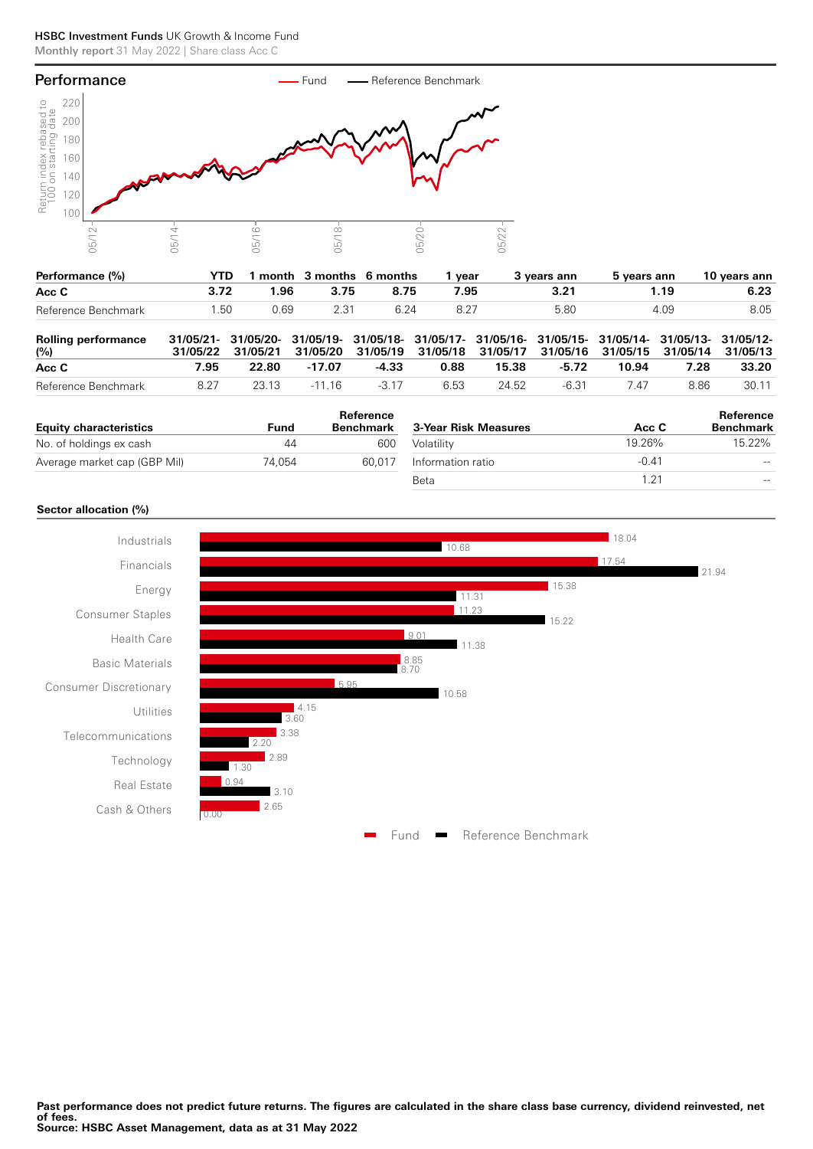#### HSBC Investment Funds UK Growth & Income Fund Monthly report 31 May 2022 | Share class Acc C



| Performance (%)     | YTD  |      | month 3 months 6 months |      | vear | 3 vears ann | 5 vears ann | 10 vears ann |
|---------------------|------|------|-------------------------|------|------|-------------|-------------|--------------|
| Acc C               | 3.72 | 1.96 | 3.75                    | 8.75 | 7.95 |             | ∣.19        | 6.23         |
| Reference Benchmark | .50  | 0.69 | 2.31                    |      |      | 5.80        | 4.09        | 8.05         |

| <b>Rolling performance</b><br>(%) |      |       | 31/05/21- 31/05/20- 31/05/19- 31/05/18- 31/05/17- 31/05/16- 31/05/15- 31/05/14- 31/05/13- 31/05/12-<br>31/05/22 31/05/21 31/05/20 31/05/19 31/05/18 31/05/17 31/05/16 31/05/15 31/05/14 31/05/13 |         |      |       |       |       |      |       |
|-----------------------------------|------|-------|--------------------------------------------------------------------------------------------------------------------------------------------------------------------------------------------------|---------|------|-------|-------|-------|------|-------|
| Acc C                             | 7.95 | 22.80 | -17.07                                                                                                                                                                                           | -4.33   | 0.88 | 15.38 | -5.72 | 10.94 | 7.28 | 33.20 |
| Reference Benchmark               | 8.27 | 23 13 | -11 16                                                                                                                                                                                           | $-3.17$ | 6.53 | 24.52 | -6.31 | 7 47  | 8.86 | 30.11 |

|                               |        | Reference        |                      |         | Reference        |
|-------------------------------|--------|------------------|----------------------|---------|------------------|
| <b>Equity characteristics</b> | Fund   | <b>Benchmark</b> | 3-Year Risk Measures | Acc C   | <b>Benchmark</b> |
| No. of holdings ex cash       | 44     | 600              | Volatility           | 19.26%  | 15.22%           |
| Average market cap (GBP Mil)  | 74.054 | 60.017           | Information ratio    | $-0.41$ | $- -$            |
|                               |        |                  | Beta                 | .21     | $- -$            |

### **Sector allocation (%)**

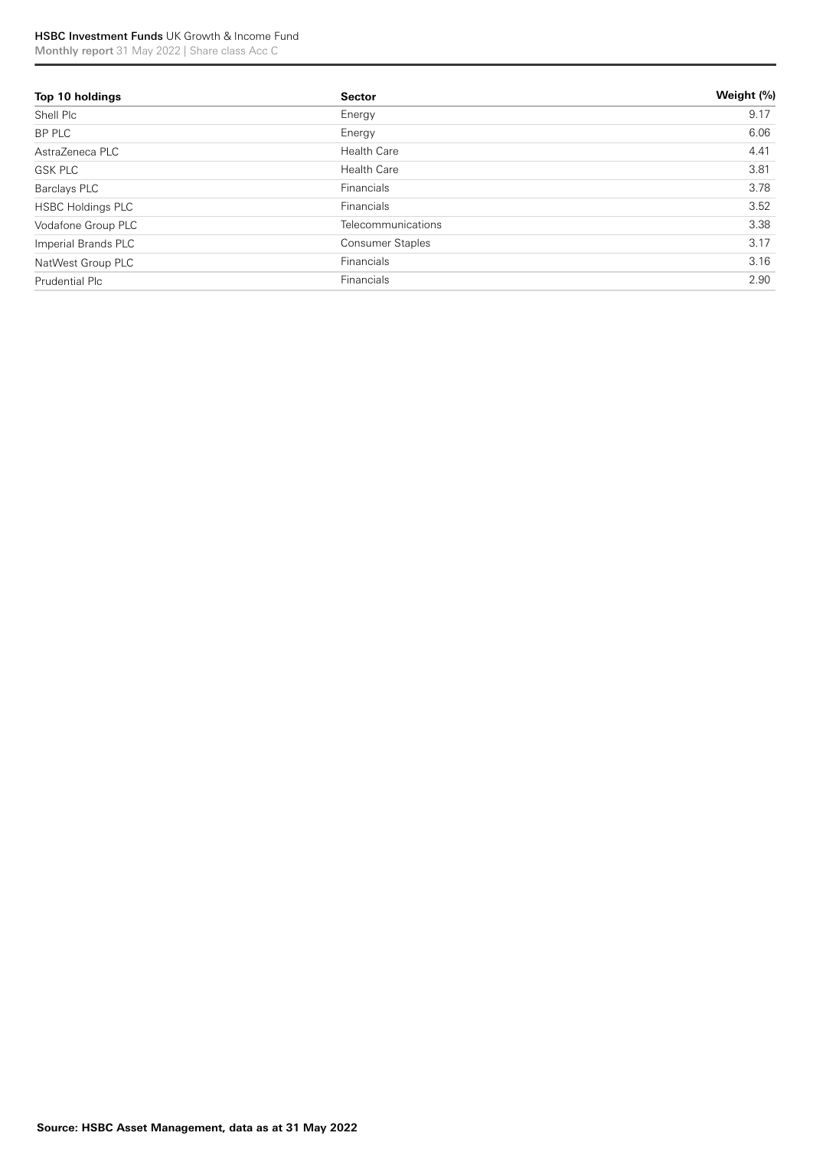# HSBC Investment Funds UK Growth & Income Fund

Monthly report 31 May 2022 | Share class Acc C

| Top 10 holdings          | <b>Sector</b>           | Weight (%) |
|--------------------------|-------------------------|------------|
| Shell Plc                | Energy                  | 9.17       |
| BP PLC                   | Energy                  | 6.06       |
| AstraZeneca PLC          | <b>Health Care</b>      | 4.41       |
| <b>GSK PLC</b>           | <b>Health Care</b>      | 3.81       |
| Barclays PLC             | Financials              | 3.78       |
| <b>HSBC Holdings PLC</b> | Financials              | 3.52       |
| Vodafone Group PLC       | Telecommunications      | 3.38       |
| Imperial Brands PLC      | <b>Consumer Staples</b> | 3.17       |
| NatWest Group PLC        | Financials              | 3.16       |
| Prudential Plc           | Financials              | 2.90       |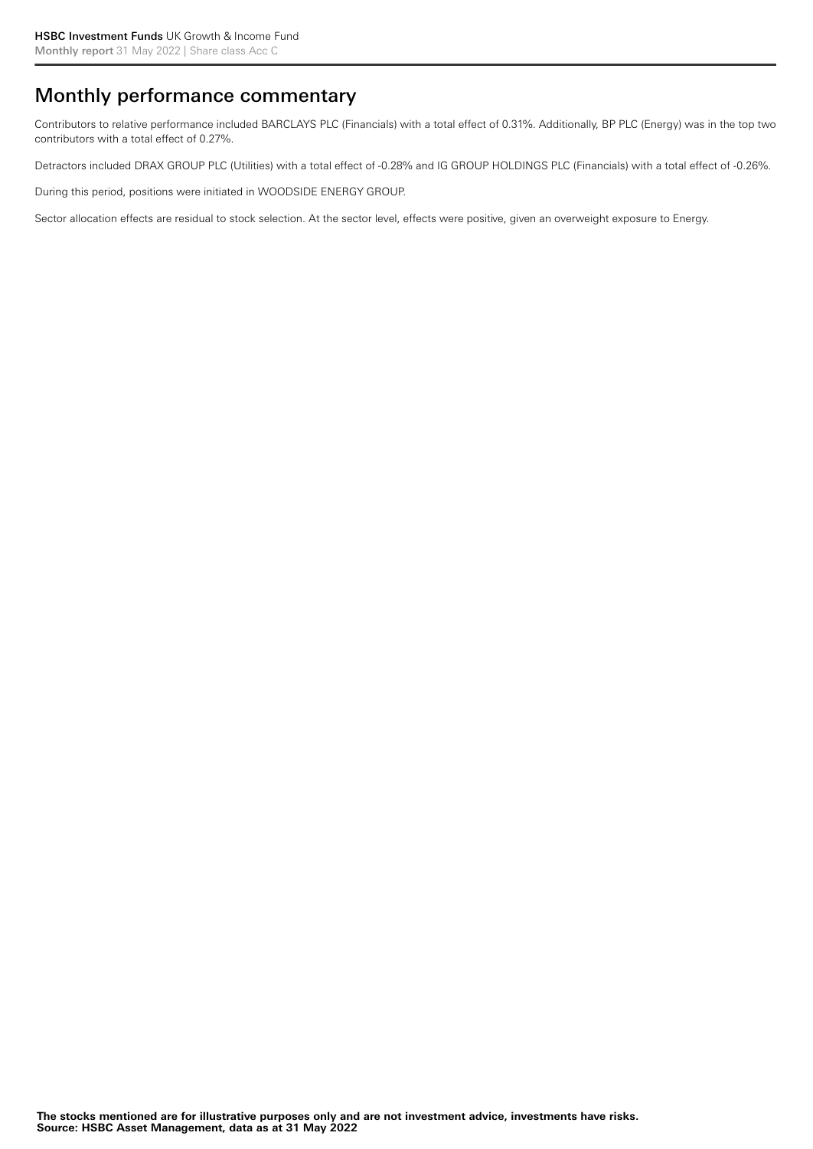# Monthly performance commentary

Contributors to relative performance included BARCLAYS PLC (Financials) with a total effect of 0.31%. Additionally, BP PLC (Energy) was in the top two contributors with a total effect of 0.27%.

Detractors included DRAX GROUP PLC (Utilities) with a total effect of -0.28% and IG GROUP HOLDINGS PLC (Financials) with a total effect of -0.26%.

During this period, positions were initiated in WOODSIDE ENERGY GROUP.

Sector allocation effects are residual to stock selection. At the sector level, effects were positive, given an overweight exposure to Energy.